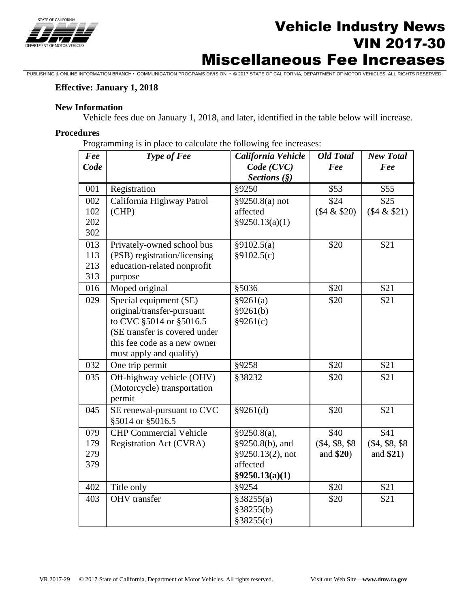

# **Vehicle Industry News**<br>
The *News* VIN 2017-30 Miscellaneous Fee Increases

PUBLISHING & ONLINE INFORMATION BRANCH • COMMUNICATION PROGRAMS DIVISION • © 2017 STATE OF CALIFORNIA, DEPARTMENT OF MOTOR VEHICLES. ALL RIGHTS RESERVED.

### **Effective: January 1, 2018**

#### **New Information**

Vehicle fees due on January 1, 2018, and later, identified in the table below will increase.

#### **Procedures**

Programming is in place to calculate the following fee increases:

| Fee  | Type of Fee                   | California Vehicle | <b>Old Total</b> | <b>New Total</b> |
|------|-------------------------------|--------------------|------------------|------------------|
| Code |                               | Code (CVC)         | Fee              | Fee              |
|      |                               | Sections $(\S)$    |                  |                  |
| 001  | Registration                  | §9250              | \$53             | \$55             |
| 002  | California Highway Patrol     | $§9250.8(a)$ not   | \$24             | \$25             |
| 102  | (CHP)                         | affected           | $($4 \& $20)$    | (\$4 & \$21)     |
| 202  |                               | §9250.13(a)(1)     |                  |                  |
| 302  |                               |                    |                  |                  |
| 013  | Privately-owned school bus    | §9102.5(a)         | \$20             | \$21             |
| 113  | (PSB) registration/licensing  | §9102.5(c)         |                  |                  |
| 213  | education-related nonprofit   |                    |                  |                  |
| 313  | purpose                       |                    |                  |                  |
| 016  | Moped original                | §5036              | \$20             | \$21             |
| 029  | Special equipment (SE)        | §9261(a)           | \$20             | \$21             |
|      | original/transfer-pursuant    | §9261(b)           |                  |                  |
|      | to CVC §5014 or §5016.5       | §9261(c)           |                  |                  |
|      | (SE transfer is covered under |                    |                  |                  |
|      | this fee code as a new owner  |                    |                  |                  |
|      | must apply and qualify)       |                    |                  |                  |
| 032  | One trip permit               | §9258              | \$20             | \$21             |
| 035  | Off-highway vehicle (OHV)     | §38232             | \$20             | \$21             |
|      | (Motorcycle) transportation   |                    |                  |                  |
|      | permit                        |                    |                  |                  |
| 045  | SE renewal-pursuant to CVC    | §9261(d)           | \$20             | \$21             |
|      | §5014 or §5016.5              |                    |                  |                  |
| 079  | <b>CHP</b> Commercial Vehicle | §9250.8(a),        | \$40             | \$41             |
| 179  | Registration Act (CVRA)       | §9250.8(b), and    | $(\$4, \$8, \$8$ | $(\$4, \$8, \$8$ |
| 279  |                               | §9250.13(2), not   | and $$20)$       | and $$21)$       |
| 379  |                               | affected           |                  |                  |
|      |                               | §9250.13(a)(1)     |                  |                  |
| 402  | Title only                    | §9254              | \$20             | \$21             |
| 403  | <b>OHV</b> transfer           | §38255(a)          | \$20             | \$21             |
|      |                               | §38255(b)          |                  |                  |
|      |                               | §38255(c)          |                  |                  |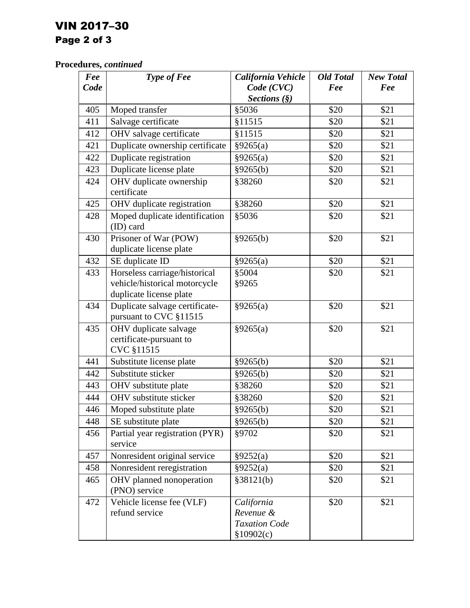## VIN 2017–30 Page 2 of 3

### **Procedures,** *continued*

| Fee  | Type of Fee                                                                               | California Vehicle                                            | <b>Old Total</b> | <b>New Total</b> |
|------|-------------------------------------------------------------------------------------------|---------------------------------------------------------------|------------------|------------------|
| Code |                                                                                           | Code (CVC)                                                    | Fee              | Fee              |
|      |                                                                                           | Sections $(\S)$                                               |                  |                  |
| 405  | Moped transfer                                                                            | §5036                                                         | \$20             | \$21             |
| 411  | Salvage certificate                                                                       | §11515                                                        | \$20             | \$21             |
| 412  | OHV salvage certificate                                                                   | §11515                                                        | \$20             | \$21             |
| 421  | Duplicate ownership certificate                                                           | §9265(a)                                                      | \$20             | \$21             |
| 422  | Duplicate registration                                                                    | §9265(a)                                                      | \$20             | \$21             |
| 423  | Duplicate license plate                                                                   | §9265(b)                                                      | \$20             | \$21             |
| 424  | OHV duplicate ownership<br>certificate                                                    | §38260                                                        | \$20             | \$21             |
| 425  | OHV duplicate registration                                                                | §38260                                                        | \$20             | \$21             |
| 428  | Moped duplicate identification<br>(ID) card                                               | §5036                                                         | \$20             | \$21             |
| 430  | Prisoner of War (POW)<br>duplicate license plate                                          | §9265(b)                                                      | \$20             | \$21             |
| 432  | SE duplicate ID                                                                           | §9265(a)                                                      | \$20             | \$21             |
| 433  | Horseless carriage/historical<br>vehicle/historical motorcycle<br>duplicate license plate | §5004<br>§9265                                                | \$20             | \$21             |
| 434  | Duplicate salvage certificate-<br>pursuant to CVC §11515                                  | §9265(a)                                                      | \$20             | \$21             |
| 435  | OHV duplicate salvage<br>certificate-pursuant to<br>CVC §11515                            | §9265(a)                                                      | \$20             | \$21             |
| 441  | Substitute license plate                                                                  | §9265(b)                                                      | \$20             | \$21             |
| 442  | Substitute sticker                                                                        | §9265(b)                                                      | \$20             | \$21             |
| 443  | OHV substitute plate                                                                      | §38260                                                        | \$20             | \$21             |
| 444  | OHV substitute sticker                                                                    | §38260                                                        | \$20             | \$21             |
| 446  | Moped substitute plate                                                                    | §9265(b)                                                      | \$20             | \$21             |
| 448  | SE substitute plate                                                                       | §9265(b)                                                      | \$20             | \$21             |
| 456  | Partial year registration (PYR)<br>service                                                | §9702                                                         | \$20             | \$21             |
| 457  | Nonresident original service                                                              | §9252(a)                                                      | \$20             | \$21             |
| 458  | Nonresident reregistration                                                                | §9252(a)                                                      | \$20             | \$21             |
| 465  | OHV planned nonoperation<br>(PNO) service                                                 | §38121(b)                                                     | \$20             | \$21             |
| 472  | Vehicle license fee (VLF)<br>refund service                                               | California<br>Revenue &<br><b>Taxation Code</b><br>\$10902(c) | \$20             | \$21             |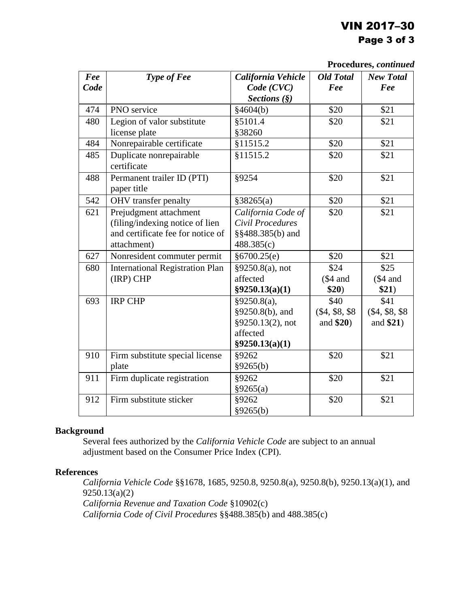### VIN 2017–30 Page 3 of 3

**Procedures,** *continued*

|      | 11 Julius, commet                      |                    |                  |                  |  |
|------|----------------------------------------|--------------------|------------------|------------------|--|
| Fee  | <b>Type of Fee</b>                     | California Vehicle | <b>Old Total</b> | <b>New Total</b> |  |
| Code |                                        | Code (CVC)         | Fee              | Fee              |  |
|      |                                        | Sections $(\S)$    |                  |                  |  |
| 474  | PNO service                            | §4604(b)           | \$20             | \$21             |  |
| 480  | Legion of valor substitute             | §5101.4            | \$20             | \$21             |  |
|      | license plate                          | §38260             |                  |                  |  |
| 484  | Nonrepairable certificate              | §11515.2           | \$20             | \$21             |  |
| 485  | Duplicate nonrepairable                | §11515.2           | \$20             | \$21             |  |
|      | certificate                            |                    |                  |                  |  |
| 488  | Permanent trailer ID (PTI)             | §9254              | \$20             | \$21             |  |
|      | paper title                            |                    |                  |                  |  |
| 542  | OHV transfer penalty                   | §38265(a)          | \$20             | \$21             |  |
| 621  | Prejudgment attachment                 | California Code of | \$20             | \$21             |  |
|      | (filing/indexing notice of lien        | Civil Procedures   |                  |                  |  |
|      | and certificate fee for notice of      | §§488.385(b) and   |                  |                  |  |
|      | attachment)                            | 488.385(c)         |                  |                  |  |
| 627  | Nonresident commuter permit            | §6700.25(e)        | \$20             | \$21             |  |
| 680  | <b>International Registration Plan</b> | §9250.8(a), not    | \$24             | \$25             |  |
|      | (IRP) CHP                              | affected           | $\$4$ and        | $$4$ and         |  |
|      |                                        | §9250.13(a)(1)     | \$20)            | \$21)            |  |
| 693  | <b>IRP CHP</b>                         | §9250.8(a),        | \$40             | \$41             |  |
|      |                                        | §9250.8(b), and    | $(\$4, \$8, \$8$ | $(\$4, \$8, \$8$ |  |
|      |                                        | §9250.13(2), not   | and $$20)$       | and $$21)$       |  |
|      |                                        | affected           |                  |                  |  |
|      |                                        | §9250.13(a)(1)     |                  |                  |  |
| 910  | Firm substitute special license        | §9262              | \$20             | \$21             |  |
|      | plate                                  | §9265(b)           |                  |                  |  |
| 911  | Firm duplicate registration            | §9262              | \$20             | \$21             |  |
|      |                                        | §9265(a)           |                  |                  |  |
| 912  | Firm substitute sticker                | §9262              | \$20             | \$21             |  |
|      |                                        | §9265(b)           |                  |                  |  |

### **Background**

Several fees authorized by the *California Vehicle Code* are subject to an annual adjustment based on the Consumer Price Index (CPI).

### **References**

*California Vehicle Code* §§1678, 1685, 9250.8, 9250.8(a), 9250.8(b), 9250.13(a)(1), and 9250.13(a)(2) *California Revenue and Taxation Code* §10902(c) *California Code of Civil Procedures* §§488.385(b) and 488.385(c)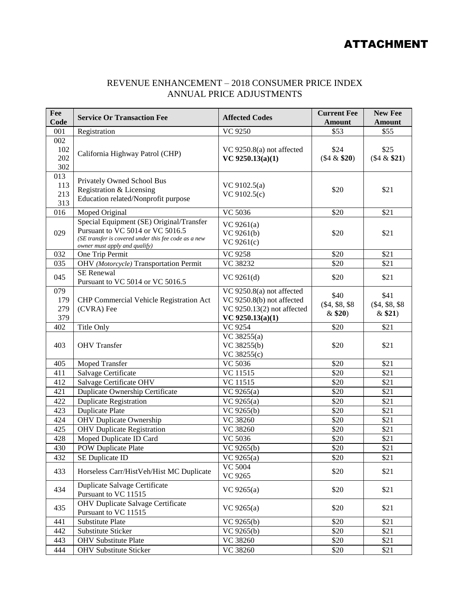### ATTACHMENT

### REVENUE ENHANCEMENT – 2018 CONSUMER PRICE INDEX ANNUAL PRICE ADJUSTMENTS

| Fee<br>Code | <b>Service Or Transaction Fee</b>                    | <b>Affected Codes</b>      | <b>Current Fee</b><br><b>Amount</b> | <b>New Fee</b><br><b>Amount</b> |
|-------------|------------------------------------------------------|----------------------------|-------------------------------------|---------------------------------|
| 001         | Registration                                         | VC 9250                    | \$53                                | \$55                            |
| 002         |                                                      |                            |                                     |                                 |
| 102         |                                                      | VC 9250.8(a) not affected  | \$24                                | \$25                            |
| 202         | California Highway Patrol (CHP)                      | VC 9250.13 $(a)(1)$        | $($4 \& $20)$                       | (\$4 & \$21)                    |
| 302         |                                                      |                            |                                     |                                 |
| 013         |                                                      |                            |                                     |                                 |
| 113         | Privately Owned School Bus                           | VC $9102.5(a)$             |                                     |                                 |
| 213         | Registration & Licensing                             | VC 9102.5(c)               | \$20                                | \$21                            |
| 313         | Education related/Nonprofit purpose                  |                            |                                     |                                 |
| 016         | Moped Original                                       | VC 5036                    | \$20                                | \$21                            |
|             | Special Equipment (SE) Original/Transfer             | VC 9261(a)                 |                                     |                                 |
| 029         | Pursuant to VC 5014 or VC 5016.5                     | VC 9261(b)                 | \$20                                | \$21                            |
|             | (SE transfer is covered under this fee code as a new | VC 9261(c)                 |                                     |                                 |
| 032         | owner must apply and qualify)<br>One Trip Permit     | VC 9258                    | \$20                                | \$21                            |
| 035         | OHV (Motorcycle) Transportation Permit               | VC 38232                   | \$20                                | \$21                            |
|             | <b>SE</b> Renewal                                    |                            |                                     |                                 |
| 045         | Pursuant to VC 5014 or VC 5016.5                     | VC 9261(d)                 | \$20                                | \$21                            |
| 079         |                                                      | VC 9250.8(a) not affected  |                                     |                                 |
| 179         | <b>CHP Commercial Vehicle Registration Act</b>       | VC 9250.8(b) not affected  | \$40                                | \$41                            |
| 279         | (CVRA) Fee                                           | VC 9250.13(2) not affected | $(\$4, \$8, \$8$                    | $(\$4, \$8, \$8$                |
| 379         |                                                      | VC $9250.13(a)(1)$         | $&$ \$20)                           | &\$21)                          |
| 402         | Title Only                                           | VC 9254                    | \$20                                | \$21                            |
|             |                                                      | VC 38255(a)                |                                     |                                 |
| 403         | <b>OHV</b> Transfer                                  | VC 38255(b)                | \$20                                | \$21                            |
|             |                                                      | VC 38255(c)                |                                     |                                 |
| 405         | <b>Moped Transfer</b>                                | VC 5036                    | \$20                                | \$21                            |
| 411         | Salvage Certificate                                  | VC 11515                   | \$20                                | \$21                            |
| 412         | Salvage Certificate OHV                              | VC 11515                   | \$20                                | \$21                            |
| 421         | Duplicate Ownership Certificate                      | VC 9265(a)                 | \$20                                | \$21                            |
| 422         | <b>Duplicate Registration</b>                        | VC 9265(a)                 | \$20                                | \$21                            |
| 423         | <b>Duplicate Plate</b>                               | $\overline{VC}$ 9265(b)    | \$20                                | \$21                            |
| 424         | <b>OHV</b> Duplicate Ownership                       | VC 38260                   | \$20                                | \$21                            |
| 425         | <b>OHV</b> Duplicate Registration                    | VC 38260                   | \$20                                | \$21                            |
| 428         | Moped Duplicate ID Card                              | VC 5036                    | \$20                                | \$21                            |
| 430         | <b>POW Duplicate Plate</b>                           | VC 9265(b)                 | \$20                                | \$21                            |
| 432         | SE Duplicate ID                                      | VC 9265(a)                 | \$20                                | \$21                            |
| 433         | Horseless Carr/HistVeh/Hist MC Duplicate             | <b>VC 5004</b>             | \$20                                | \$21                            |
|             |                                                      | VC 9265                    |                                     |                                 |
| 434         | Duplicate Salvage Certificate                        | VC 9265(a)                 | \$20                                | \$21                            |
|             | Pursuant to VC 11515                                 |                            |                                     |                                 |
| 435         | <b>OHV Duplicate Salvage Certificate</b>             | VC 9265(a)                 | \$20                                | \$21                            |
|             | Pursuant to VC 11515                                 |                            |                                     |                                 |
| 441         | Substitute Plate                                     | VC 9265(b)                 | \$20                                | \$21                            |
| 442         | Substitute Sticker                                   | VC 9265(b)                 | \$20                                | \$21                            |
| 443         | <b>OHV</b> Substitute Plate                          | VC 38260                   | \$20                                | \$21                            |
| 444         | <b>OHV Substitute Sticker</b>                        | VC 38260                   | \$20                                | \$21                            |